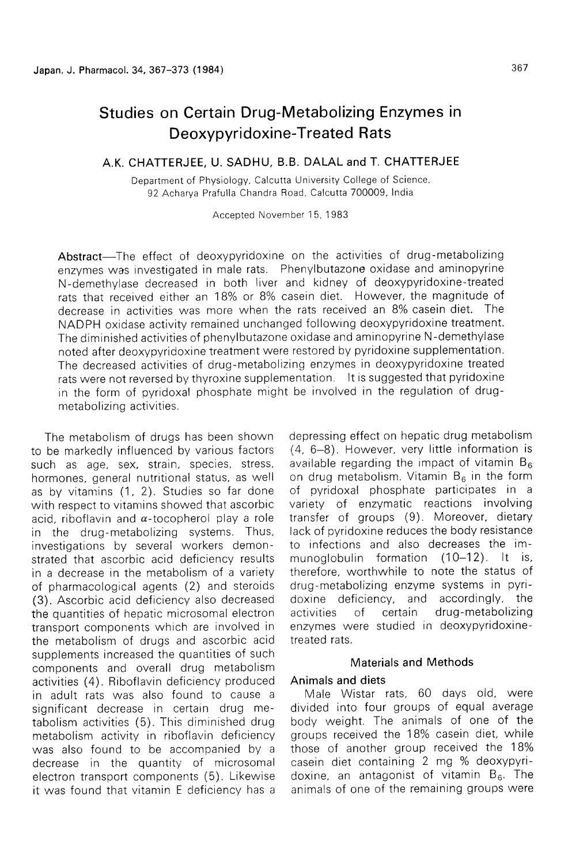# Studies on Certain Drug-Metabolizing Enzymes in Deoxypyridoxine-Treated Rats

## A.K. CHATTERJEE, U. SADHU, B.B. DALAL and T. CHATTERJEE

Department of Physiology, Calcutta University College of Science, 92 Acharya Prafulla Chandra Road, Calcutta 700009, India

Accepted November 15, 1983

Abstract-The effect of deoxypyridoxine on the activities of drug-metabolizing enzymes was investigated in male rats. Phenylbutazone oxidase and aminopyrine N-demethylase decreased in both liver and kidney of deoxypyridoxine-treated rats that received either an 18% or 8% casein diet. However, the magnitude of decrease in activities was more when the rats received an 8% casein diet. The NADPH oxidase activity remained unchanged following deoxypyridoxine treatment. The diminished activities of phenylbutazone oxidase and aminopyrine N-demethylase noted after deoxypyridoxine treatment were restored by pyridoxine supplementation. The decreased activities of drug-metabolizing enzymes in deoxypyridoxine treated rats were not reversed by thyroxine supplementation. It is suggested that pyridoxine in the form of pyridoxal phosphate might be involved in the regulation of drug metabolizing activities.

The metabolism of drugs has been shown to be markedly influenced by various factors such as age, sex, strain, species, stress, hormones, general nutritional status, as well as by vitamins (1, 2). Studies so far done with respect to vitamins showed that ascorbic acid, riboflavin and  $\alpha$ -tocopherol play a role in the drug-metabolizing systems. Thus, investigations by several workers demonstrated that ascorbic acid deficiency results in a decrease in the metabolism of a variety of pharmacological agents (2) and steroids (3). Ascorbic acid deficiency also decreased the quantities of hepatic microsomal electron transport components which are involved in the metabolism of drugs and ascorbic acid supplements increased the quantities of such components and overall drug metabolism activities (4). Riboflavin deficiency produced in adult rats was also found to cause a significant decrease in certain drug metabolism activities (5). This diminished drug metabolism activity in riboflavin deficiency was also found to be accompanied by a decrease in the quantity of microsomal electron transport components (5). Likewise it was found that vitamin E deficiency has a depressing effect on hepatic drug metabolism (4, 6-8). However, very little information is available regarding the impact of vitamin  $B_6$ on drug metabolism. Vitamin  $B_6$  in the form of pyridoxal phosphate participates in a variety of enzymatic reactions involving transfer of groups (9). Moreover, dietary lack of pyridoxine reduces the body resistance to infections and also decreases the im munoglobulin formation (10-12). It is, therefore, worthwhile to note the status of drug-metabolizing enzyme systems in pyri doxine deficiency, and accordingly, the activities of certain drug-metabolizing enzymes were studied in deoxypyridoxine treated rats.

#### Materials and Methods

#### Animals and diets

Male Wistar rats, 60 days old, were divided into four groups of equal average body weight. The animals of one of the groups received the 18% casein diet, while those of another group received the 18% casein diet containing 2 mg % deoxypyri doxine, an antagonist of vitamin  $B_6$ . The animals of one of the remaining groups were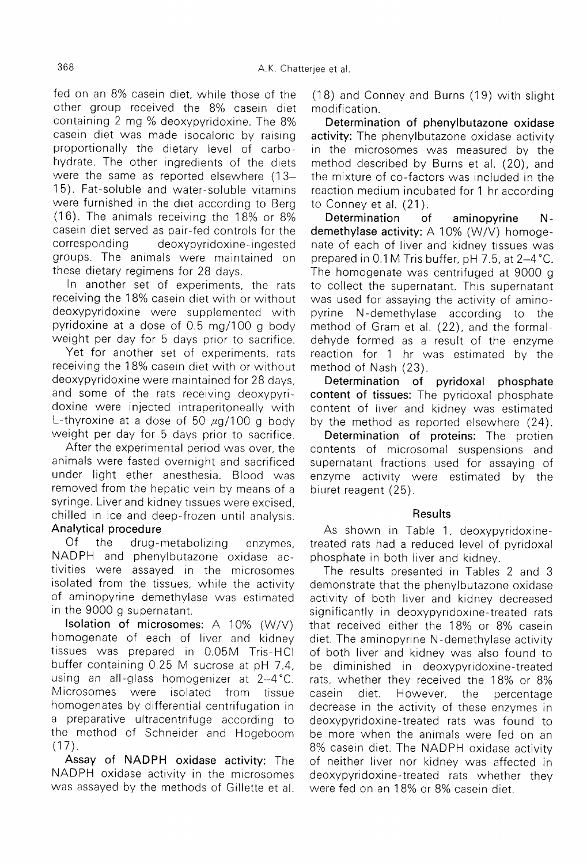fed on an 8% casein diet, while those of the other group received the 8% casein diet containing 2 mg % deoxypyridoxine. The 8% casein diet was made isocaloric by raising proportionally the dietary level of carbo hydrate. The other ingredients of the diets were the same as reported elsewhere (13 15). Fat-soluble and water-soluble vitamins were furnished in the diet according to Berg (16). The animals receiving the 18% or 8% casein diet served as pair-fed controls for the corresponding deoxypyridoxine ingested groups. The animals were maintained on these dietary regimens for 28 days.

In another set of experiments, the rats receiving the 18% casein diet with or without deoxypyridoxine were supplemented with pyridoxine at a dose of 0.5 mg/100 g body weight per day for 5 days prior to sacrifice.

Yet for another set of experiments, rats receiving the 18% casein diet with or without deoxypyridoxine were maintained for 28 days. and some of the rats receiving deoxypyridoxine were injected intraperitoneally with L-thyroxine at a dose of 50  $\mu$ g/100 g body weight per day for 5 days prior to sacrifice.

After the experimental period was over, the animals were fasted overnight and sacrificed under light ether anesthesia. Blood was removed from the hepatic vein by means of a syringe. Liver and kidney tissues were excised, chilled in ice and deep-frozen until analysis.

### Analytical procedure

 $Of$ the drug-metabolizing enzymes, NADPH and phenylbutazone oxidase activities were assayed in the microsomes isolated from the tissues, while the activity of aminopyrine demethylase was estimated in the 9000 g supernatant.

Isolation of microsomes: A 10% (W/V) homogenate of each of liver and kidney tissues was prepared in 0.05M Tris-HCl buffer containing 0.25 M sucrose at pH 7.4. using an all-glass homogenizer at 2-4°C. Microsomes were isolated from tissue homogenates by differential centrifugation in a preparative ultracentrifuge according to the method of Schneider and Hogeboom  $(17)$ .

Assay of NADPH oxidase activity: The NADPH oxidase activity in the microsomes was assayed by the methods of Gillette et al.

(18) and Conney and Burns (19) with slight modification.

 Determination of phenylbutazone oxidase activity: The phenylbutazone oxidase activity in the microsomes was measured by the method described by Burns et al. (20), and the mixture of co-factors was included in the reaction medium incubated for 1 hr according to Conney et al. (21).

Determination of aminopyrine N demethylase activity: A 10% (W/V) homoge nate of each of liver and kidney tissues was prepared in 0.1 M Tris buffer, pH 7.5, at 2-4°C. The homogenate was centrifuged at 9000 g to collect the supernatant. This supernatant was used for assaying the activity of amino pyrine N-demethylase according to the method of Gram et al. (22), and the formal dehyde formed as a result of the enzyme reaction for 1 hr was estimated by the method of Nash (23).

Determination of pyridoxal phosphate content of tissues: The pyridoxal phosphate content of liver and kidney was estimated by the method as reported elsewhere (24).

Determination of proteins: The protien contents of microsomal suspensions and supernatant fractions used for assaying of enzyme activity were estimated by the biuret reagent (25).

#### Results

As shown in Table 1, deoxypyridoxine treated rats had a reduced level of pyridoxal phosphate in both liver and kidney.

The results presented in Tables 2 and 3 demonstrate that the phenylbutazone oxidase activity of both liver and kidney decreased significantly in deoxypyridoxine-treated rats that received either the 18% or 8% casein diet. The aminopyrine N-demethylase activity of both liver and kidney was also found to be diminished in deoxypyridoxine-treated rats, whether they received the 18% or 8% casein diet. However, the percentage decrease in the activity of these enzymes in deoxypyridoxine-treated rats was found to be more when the animals were fed on an 8% casein diet. The NADPH oxidase activity of neither liver nor kidney was affected in deoxypyridoxine-treated rats whether they were fed on an 18% or 8% casein diet.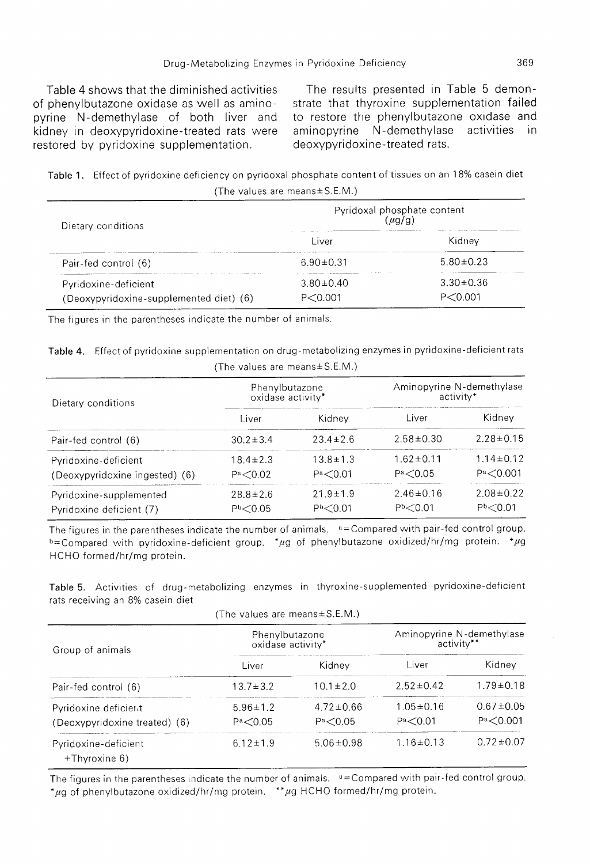Table 4 shows that the diminished activities of phenylbutazone oxidase as well as amino pyrine N-demethylase of both liver and kidney in deoxypyridoxine-treated rats were restored by pyridoxine supplementation.

The results presented in Table 5 demon strate that thyroxine supplementation failed to restore the phenylbutazone oxidase and aminopyrine N-demethylase activities in deoxypyridoxine-treated rats.

Table 1. Effect of pyridoxine deficiency on pyridoxal phosphate content of tissues on an 18% casein diet (The values are means ± S.E.M.)

| Dietary conditions                      |                 | Pyridoxal phosphate content<br>$\mu$ g/g) |
|-----------------------------------------|-----------------|-------------------------------------------|
|                                         | Liver           | Kidnev                                    |
| Pair-fed control (6)                    | $6.90 \pm 0.31$ | $5.80 \pm 0.23$                           |
| Pyridoxine-deficient                    | $3.80 \pm 0.40$ | $3.30 \pm 0.36$                           |
| (Deoxypyridoxine-supplemented diet) (6) | P < 0.001       | P < 0.001                                 |

The figures in the parentheses indicate the number of animals.

Table 4. Effect of pyridoxine supplementation on drug-metabolizing enzymes in pyridoxine-deficient rats (The values are means ± S.E.M.)

| Dietary conditions             | Phenylbutazone<br>oxidase activity* |                       |                       | Aminopyrine N-demethylase<br>activity <sup>+</sup> |
|--------------------------------|-------------------------------------|-----------------------|-----------------------|----------------------------------------------------|
|                                | Liver                               | Kidney                | Liver                 | Kidney                                             |
| Pair-fed control (6)           | $30.2 \pm 3.4$                      | $23.4 \pm 2.6$        | $2.58 \pm 0.30$       | $2.28 \pm 0.15$                                    |
| Pyridoxine-deficient           | $18.4 \pm 2.3$                      | $13.8 \pm 1.3$        | $1.62 \pm 0.11$       | $1.14 \pm 0.12$                                    |
| (Deoxypyridoxine ingested) (6) | Pa < 0.02                           | Pa < 0.01             | Pa < 0.05             | Pa < 0.001                                         |
| Pyridoxine-supplemented        | $28.8 \pm 2.6$                      | $21.9 \pm 1.9$        | $2.46 \pm 0.16$       | $2.08 \pm 0.22$                                    |
| Pyridoxine deficient (7)       | P <sub>b</sub> < 0.05               | P <sub>b</sub> < 0.01 | P <sub>b</sub> < 0.01 | P <sub>b</sub> < 0.01                              |

The figures in the parentheses indicate the number of animals. <sup>a =</sup>Compared with pair-fed control group. b=Compared with pyridoxine-deficient group. \* µg of phenylbutazone oxidized/hr/mg protein. \* µg HCHO formed/hr/mg protein.

Table 5. Activities of drug-metabolizing enzymes in thyroxine-supplemented pyridoxine-deficient rats receiving an 8% casein diet

(The values are means ± S.E.M.)

| Group of animals                                      | Phenylbutazone<br>oxidase activity* |                              | activity**                   | Aminopyrine N-demethylase     |
|-------------------------------------------------------|-------------------------------------|------------------------------|------------------------------|-------------------------------|
|                                                       | Liver                               | Kidnev                       | Liver                        | Kidney                        |
| Pair-fed control (6)                                  | $13.7 \pm 3.2$                      | $10.1 \pm 2.0$               | $2.52 \pm 0.42$              | $1.79 \pm 0.18$               |
| Pyridoxine deficient<br>(Deoxypyridoxine treated) (6) | $5.96 \pm 1.2$<br>Pa < 0.05         | $4.72 \pm 0.66$<br>Pa < 0.05 | $1.05 \pm 0.16$<br>Pa < 0.01 | $0.67 \pm 0.05$<br>Pa < 0.001 |
| Pyridoxine-deficient<br>+Thyroxine 6)                 | $6.12 \pm 1.9$                      | $5.06 \pm 0.98$              | $1.16 \pm 0.13$              | $0.72 \pm 0.07$               |

The figures in the parentheses indicate the number of animals. <sup>a</sup>=Compared with pair-fed control group. \*µg of phenylbutazone oxidized/hr/mg protein. \*\*µg HCHO formed/hr/mg protein.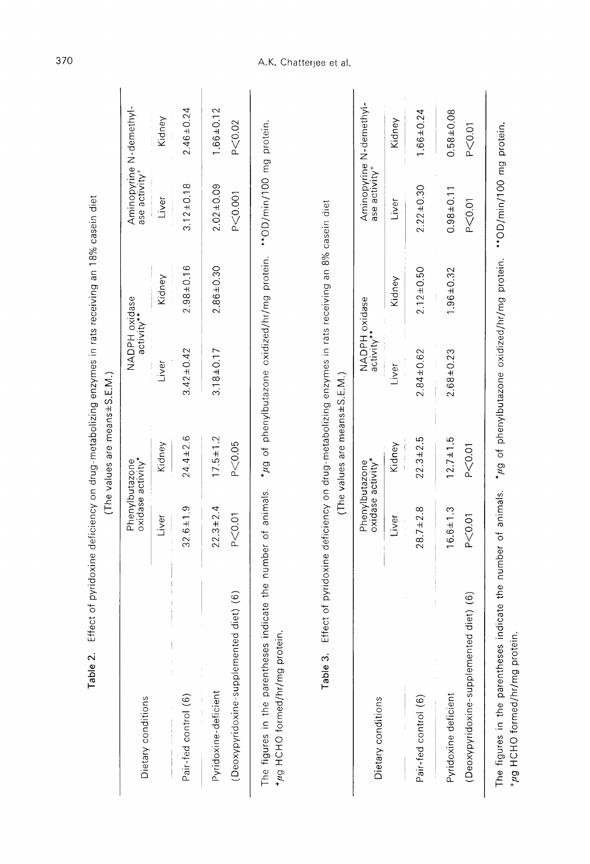|                                         |                                                                                                         | (The values are means±S.E.M.) |                             |                 |                           |                         |
|-----------------------------------------|---------------------------------------------------------------------------------------------------------|-------------------------------|-----------------------------|-----------------|---------------------------|-------------------------|
| Dietary conditions                      | oxidase activity*<br>Phenylbutazone                                                                     |                               | NADPH oxidase<br>activity** |                 | ase activity <sup>+</sup> | Aminopyrine N-demethyl- |
|                                         | Liver                                                                                                   | Kidney                        | Liver                       | Kidney          | Liver                     | Kidney                  |
| Pair-fed control (6)                    | $32.6 \pm 1.9$                                                                                          | $24.4 \pm 2.6$                | $3.42 \pm 0.42$             | $2.98 \pm 0.16$ | $3.12 \pm 0.18$           | $2.46 \pm 0.24$         |
| Pyridoxine-deficient                    | $22.3 \pm 2.4$                                                                                          | $17.5 \pm 1.2$                | $3.18 + 0.17$               | $2.86 \pm 0.30$ | $2.02 \pm 0.09$           | $1.66 \pm 0.12$         |
| (Deoxypyridoxine-supplemented diet) (6) | P < 0.01                                                                                                | P < 0.05                      |                             |                 | P < 0.001                 | P < 0.02                |
| The figures in the parentheses          | indicate the number of animals. "µg of phenylbutazone oxidized/hr/mg protein. ***0D/min/100 mg protein. |                               |                             |                 |                           |                         |

Table 2. Effect of pyridoxine deficiency on drug-metabolizing enzymes in rats receiving an 18% casein diet

+µg HCHO formed/hr/mg protein.

Table 3. Effect of pyridoxine deficiency on drug-metabolizing enzymes in rats receiving an 8% casein diet (The values are means±S, E.M.)

|                                                                                                                                            | $\vdots$                            |                |                             |                 |                           |                         |
|--------------------------------------------------------------------------------------------------------------------------------------------|-------------------------------------|----------------|-----------------------------|-----------------|---------------------------|-------------------------|
| Dietary conditions                                                                                                                         | oxidase activity*<br>Phenylbutazone |                | NADPH oxidase<br>activity** |                 | ase activity <sup>+</sup> | Aminopyrine N-demethyl- |
|                                                                                                                                            | Liver                               | Kidney         | Liver                       | Kidney          | Liver                     | Kidney                  |
| Pair-fed control (6)                                                                                                                       | $28.7 \pm 2.8$                      | $22.3 \pm 2.5$ | $2.84 \pm 0.62$             | $2.12 \pm 0.50$ | $2.22 \pm 0.30$           | $1.66 \pm 0.24$         |
| Pyridoxine deficient                                                                                                                       | $16.6 \pm 1.3$                      | $12.7 \pm 1.5$ | $2.68 \pm 0.23$             | $1.96 \pm 0.32$ | $0.98 \pm 0.11$           | $0.58 \pm 0.08$         |
| (Deoxypyridoxine-supplemented diet) (6)                                                                                                    | P < 0.01                            | P<0.01         |                             |                 | P < 0.01                  | P < 0.01                |
| The figures in the parentheses indicate the number of animals. * $\mu$ g of phenylbutazone oxidized/hr/mg protein ***0D/min/100 mg protein |                                     |                |                             |                 |                           |                         |

illanom hin laioid Billini n<br>I +µg HCHO formed/hr/mg protein.

# A.K. Chatterjee et al.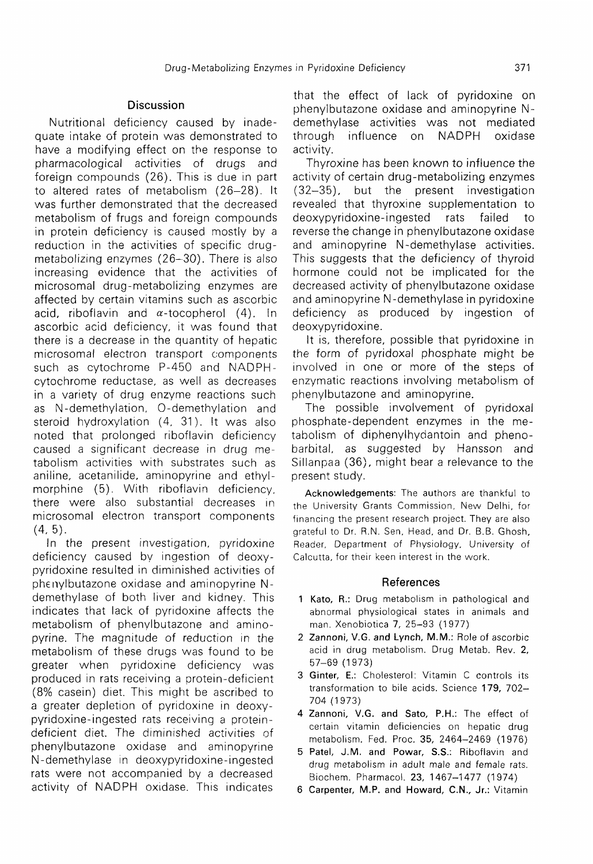## Discussion

Nutritional deficiency caused by inade quate intake of protein was demonstrated to have a modifying effect on the response to pharmacological activities of drugs and foreign compounds (26). This is due in part to altered rates of metabolism (26-28). It was further demonstrated that the decreased metabolism of frugs and foreign compounds in protein deficiency is caused mostly by a reduction in the activities of specific drug metabolizing enzymes (26-30). There is also increasing evidence that the activities of microsomal drug-metabolizing enzymes are affected by certain vitamins such as ascorbic acid, riboflavin and  $\alpha$ -tocopherol (4). In ascorbic acid deficiency, it was found that there is a decrease in the quantity of hepatic microsomal electron transport components such as cytochrome P-450 and NADPH cytochrome reductase, as well as decreases in a variety of drug enzyme reactions such as N-demethylation, 0-demethylation and steroid hydroxylation (4, 31). It was also noted that prolonged riboflavin deficiency caused a significant decrease in drug me tabolism activities with substrates such as aniline, acetanilide, aminopyrine and ethyl morphine (5). With riboflavin deficiency, there were also substantial decreases in microsomal electron transport components  $(4, 5)$ .

In the present investigation, pyridoxine deficiency caused by ingestion of deoxy pyridoxine resulted in diminished activities of phenylbutazone oxidase and aminopyrine Ndemethylase of both liver and kidney. This indicates that lack of pyridoxine affects the metabolism of phenylbutazone and amino pyrine. The magnitude of reduction in the metabolism of these drugs was found to be greater when pyridoxine deficiency was produced in rats receiving a protein-deficient (8% casein) diet. This might be ascribed to a greater depletion of pyridoxine in deoxy pyridoxine-ingested rats receiving a protein deficient diet. The diminished activities of phenylbutazone oxidase and aminopyrine N-demethylase in deoxypyridoxine-ingested rats were not accompanied by a decreased activity of NADPH oxidase. This indicates

that the effect of lack of pyridoxine on phenylbutazone oxidase and aminopyrine N demethylase activities was not mediated through influence on NADPH oxidase activity.

 Thyroxine has been known to influence the activity of certain drug-metabolizing enzymes (32-35), but the present investigation revealed that thyroxine supplementation to deoxypyridoxine-ingested rats failed to reverse the change in phenylbutazone oxidase and aminopyrine N-demethylase activities. This suggests that the deficiency of thyroid hormone could not be implicated for the decreased activity of phenylbutazone oxidase and aminopyrine N-demethylase in pyridoxine deficiency as produced by ingestion of deoxypyridoxine.

 It is, therefore, possible that pyridoxine in the form of pyridoxal phosphate might be involved in one or more of the steps of enzymatic reactions involving metabolism of phenylbutazone and aminopyrine.

The possible involvement of pyridoxal phosphate-dependent enzymes in the me tabolism of diphenylhydantoin and pheno barbital, as suggested by Hansson and Sillanpaa (36), might bear a relevance to the present study.

 Acknowledgements: The authors are thankful to the University Grants Commission, New Delhi, for financing the present research project. They are also grateful to Dr. R.N. Sen, Head, and Dr. B.B. Ghosh, Reader, Department of Physiology, University of Calcutta, for their keen interest in the work.

#### References

- 1 Kato, R.: Drug metabolism in pathological and abnormal physiological states in animals and man. Xenobiotica 7, 25-93 (1977)
- 2 Zannoni, V.G. and Lynch, M.M.: Role of ascorbic acid in drug metabolism. Drug Metab. Rev. 2, 57-69 (1973)
- 3 Ginter, E.: Cholesterol: Vitamin C controls its transformation to bile acids. Science 179, 702 704 (1973)
- 4 Zannoni, V.G. and Sato, P.H.: The effect of certain vitamin deficiencies on hepatic drug metabolism. Fed. Proc. 35, 2464-2469 (1976)
- 5 Patel, J.M. and Powar, S.S.: Riboflavin and drug metabolism in adult male and female rats. Biochem. Pharmacol. 23, 1467-1477 (1974)
- 6 Carpenter, M.P. and Howard, C.N., Jr.: Vitamin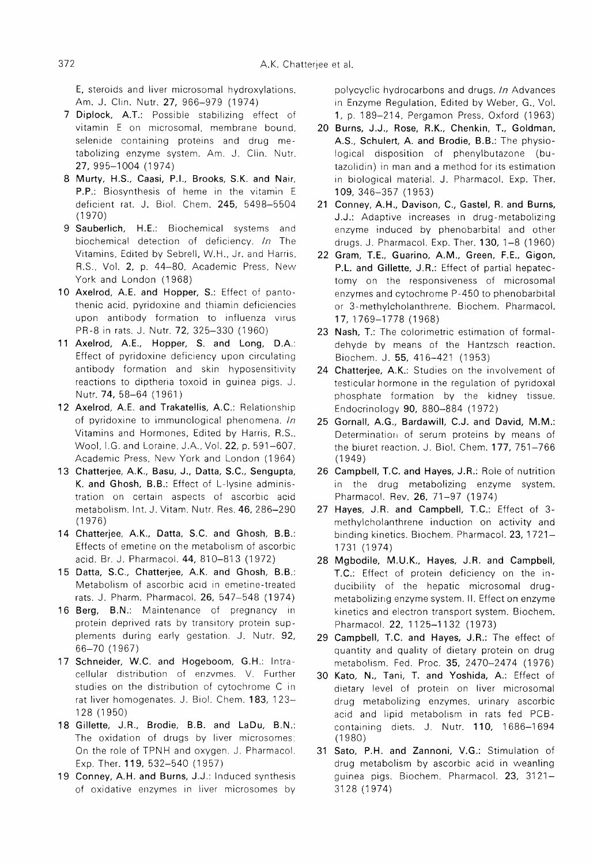E, steroids and liver microsomal hydroxylations. Am. J. Clin. Nutr. 27, 966-979 (1974)

- 7 Diplock, A.T.: Possible stabilizing effect of vitamin E on microsomal, membrane bound, selenide containing proteins and drug me tabolizing enzyme system. Am. J. Clin. Nutr. 27, 995-1004 (1974)
- 8 Murty, H.S., Caasi, P.I., Brooks, S.K. and Nair, P.P.: Biosynthesis of heme in the vitamin E deficient rat. J. Biol. Chem. 245, 5498-5504 (1970)
- 9 Sauberlich, H.E.: Biochemical systems and biochemical detection of deficiency. In The Vitamins, Edited by Sebrell, W.H., Jr. and Harris, R.S., Vol. 2, p. 44-80, Academic Press, New York and London (1968)
- 10 Axelrod, A.E. and Hopper, S.: Effect of pantothenic acid, pyridoxine and thiamin deficiencies upon antibody formation to influenza virus PR-8 in rats. J. Nutr. 72, 325-330 (1960)
- 11 Axelrod, A.E., Hopper, S. and Long, D.A.: Effect of pyridoxine deficiency upon circulating antibody formation and skin hyposensitivity reactions to diptheria toxoid in guinea pigs. J. Nutr. 74, 58-64 (1961 )
- 12 Axelrod, A.E. and Trakatellis, A.C.: Relationship of pyridoxine to immunological phenomena.  $In$ Vitamins and Hormones, Edited by Harris, R.S., Wool, I.G. and Loraine, J.A., Vol. 22, p. 591-607, Academic Press, New York and London (1964)
- 13 Chatterjee, A.K., Basu, J., Datta, S.C., Sengupta, K. and Ghosh, B.B.: Effect of L-lysine adminis tration on certain aspects of ascorbic acid metabolism. Int. J. Vitam. Nutr. Res. 46, 286-290 (1976)
- 14 Chatterjee, A.K., Datta, S.C. and Ghosh, B.B.: Effects of emetine on the metabolism of ascorbic acid. Br. J. Pharmacol. 44, 810-813 (1972)
- 15 Datta, S.C., Chatterjee, A.K. and Ghosh, B.B.: Metabolism of ascorbic acid in emetine-treated rats. J. Pharm. Pharmacol. 26, 547-548 (1974)
- 16 Berg, B.N.: Maintenance of pregnancy in protein deprived rats by transitory protein sup plements during early gestation. J. Nutr. 92, 66-70 (1967)
- 17 Schneider, W.C. and Hogeboom, G.H.: Intracellular distribution of enzymes. V. Further studies on the distribution of cytochrome C in rat liver homogenates. J. Biol. Chem. 183, 123 128 (1950)
- 18 Gillette, J.R., Brodie, B.B. and LaDu, B.N.: The oxidation of drugs by liver microsomes: On the role of TPNH and oxygen. J. Pharmacol. Exp. Ther. 119, 532-540 (1957)
- 19 Conney, A.H. and Burns, J.J.: Induced synthesis of oxidative enzymes in liver microsomes by

polycyclic hydrocarbons and drugs. In Advances in Enzyme Regulation, Edited by Weber, G., Vol. 1, p. 189-214, Pergamon Press, Oxford (1963)

- 20 Burns, J.J., Rose, R.K., Chenkin, T., Goldman, A.S., Schulert, A. and Brodie, B.B.: The physio logical disposition of phenylbutazone (bu tazolidin) in man and a method for its estimation in biological material. J. Pharmacol. Exp. Ther. 109, 346-357 (1953)
- 21 Conney, A.H., Davison, C., Gastel, R. and Burns, J.J.: Adaptive increases in drug-metabolizing enzyme induced by phenobarbital and other drugs. J. Pharmacol. Exp. Ther. 130, 1-8 (1960)
- 22 Gram, T.E., Guarino, A.M., Green, F.E., Gigon, P.L. and Gillette, J.R.: Effect of partial hepatec tomy on the responsiveness of microsomal enzymes and cytochrome P-450 to phenobarbital or 3-methylcholanthrene. Biochem. Pharmacol. 17, 1769-1778 (1968)
- 23 Nash, T.: The colorimetric estimation of formal dehyde by means of the Hantzsch reaction. Biochem. J. 55, 416-421 (1953)
- 24 Chatterjee, A.K.: Studies on the involvement of testicular hormone in the regulation of pyridoxal phosphate formation by the kidney tissue. Endocrinology 90, 880-884 (1972)
- 25 Gornall, A.G., Bardawill, C.J. and David, M.M.: Determination of serum proteins by means of the biuret reaction. J. Biol. Chem. 177, 751-766 (1949)
- 26 Campbell, T.C. and Hayes, J.R.: Role of nutrition in the drug metabolizing enzyme system. Pharmacol. Rev. 26, 71-97 (1974)
- 27 Hayes, J.R. and Campbell, T.C.: Effect of 3 methylcholanthrene induction on activity and binding kinetics. Biochem. Pharmacol. 23, 1721 1731 (1974)
- 28 Mgbodile, M.U.K., Hayes, J.R. and Campbell, T.C.: Effect of protein deficiency on the in ducibility of the hepatic microsomal drug metabolizing enzyme system. II. Effect on enzyme kinetics and electron transport system. Biochem. Pharmacol. 22, 1125-1132 (1973)
- 29 Campbell, T.C. and Hayes, J.R.: The effect of quantity and quality of dietary protein on drug metabolism. Fed. Proc. 35, 2470-2474 (1976)
- 30 Kato, N., Tani, T. and Yoshida, A.: Effect of dietary level of protein on liver microsomal drug metabolizing enzymes, urinary ascorbic acid and lipid metabolism in rats fed PCB containing diets. J. Nutr. 110, 1686-1694 (1980)
- 31 Sato, P.H. and Zannoni, V.G.: Stimulation of drug metabolism by ascorbic acid in weanling guinea pigs. Biochem. Pharmacol. 23, 3121 3128 (1974)